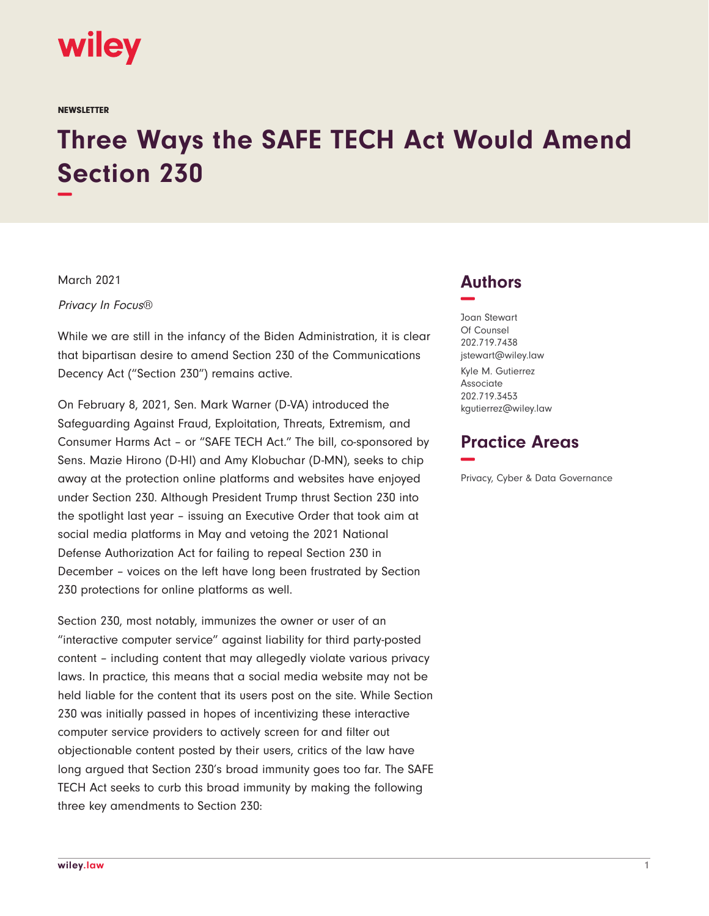

#### **NEWSLETTER**

# **Three Ways the SAFE TECH Act Would Amend Section 230 −**

March 2021

Privacy In Focus®

While we are still in the infancy of the Biden Administration, it is clear that bipartisan desire to amend Section 230 of the Communications Decency Act ("Section 230") remains active.

On February 8, 2021, Sen. Mark Warner (D-VA) introduced the Safeguarding Against Fraud, Exploitation, Threats, Extremism, and Consumer Harms Act – or "SAFE TECH Act." The bill, co-sponsored by Sens. Mazie Hirono (D-HI) and Amy Klobuchar (D-MN), seeks to chip away at the protection online platforms and websites have enjoyed under Section 230. Although President Trump thrust Section 230 into the spotlight last year – issuing an Executive Order that took aim at social media platforms in May and vetoing the 2021 National Defense Authorization Act for failing to repeal Section 230 in December – voices on the left have long been frustrated by Section 230 protections for online platforms as well.

Section 230, most notably, immunizes the owner or user of an "interactive computer service" against liability for third party-posted content – including content that may allegedly violate various privacy laws. In practice, this means that a social media website may not be held liable for the content that its users post on the site. While Section 230 was initially passed in hopes of incentivizing these interactive computer service providers to actively screen for and filter out objectionable content posted by their users, critics of the law have long argued that Section 230's broad immunity goes too far. The SAFE TECH Act seeks to curb this broad immunity by making the following three key amendments to Section 230:

## **Authors −**

Joan Stewart Of Counsel 202.719.7438 jstewart@wiley.law Kyle M. Gutierrez Associate 202.719.3453 kgutierrez@wiley.law

## **Practice Areas −**

Privacy, Cyber & Data Governance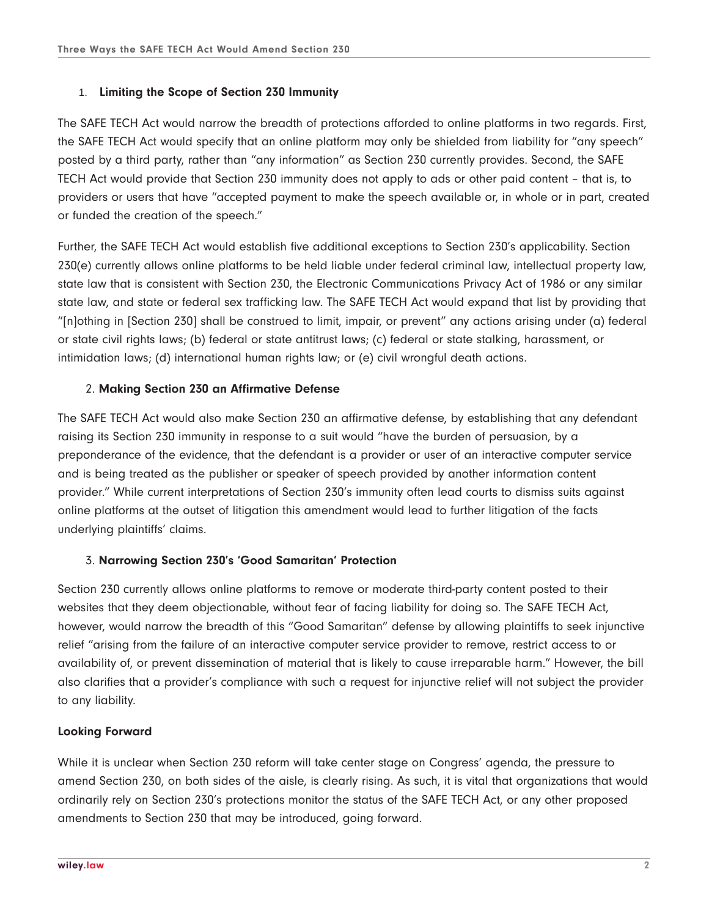### 1. **Limiting the Scope of Section 230 Immunity**

The SAFE TECH Act would narrow the breadth of protections afforded to online platforms in two regards. First, the SAFE TECH Act would specify that an online platform may only be shielded from liability for "any speech" posted by a third party, rather than "any information" as Section 230 currently provides. Second, the SAFE TECH Act would provide that Section 230 immunity does not apply to ads or other paid content – that is, to providers or users that have "accepted payment to make the speech available or, in whole or in part, created or funded the creation of the speech."

Further, the SAFE TECH Act would establish five additional exceptions to Section 230's applicability. Section 230(e) currently allows online platforms to be held liable under federal criminal law, intellectual property law, state law that is consistent with Section 230, the Electronic Communications Privacy Act of 1986 or any similar state law, and state or federal sex trafficking law. The SAFE TECH Act would expand that list by providing that "[n]othing in [Section 230] shall be construed to limit, impair, or prevent" any actions arising under (a) federal or state civil rights laws; (b) federal or state antitrust laws; (c) federal or state stalking, harassment, or intimidation laws; (d) international human rights law; or (e) civil wrongful death actions.

#### 2. **Making Section 230 an Affirmative Defense**

The SAFE TECH Act would also make Section 230 an affirmative defense, by establishing that any defendant raising its Section 230 immunity in response to a suit would "have the burden of persuasion, by a preponderance of the evidence, that the defendant is a provider or user of an interactive computer service and is being treated as the publisher or speaker of speech provided by another information content provider." While current interpretations of Section 230's immunity often lead courts to dismiss suits against online platforms at the outset of litigation this amendment would lead to further litigation of the facts underlying plaintiffs' claims.

#### 3. **Narrowing Section 230's 'Good Samaritan' Protection**

Section 230 currently allows online platforms to remove or moderate third-party content posted to their websites that they deem objectionable, without fear of facing liability for doing so. The SAFE TECH Act, however, would narrow the breadth of this "Good Samaritan" defense by allowing plaintiffs to seek injunctive relief "arising from the failure of an interactive computer service provider to remove, restrict access to or availability of, or prevent dissemination of material that is likely to cause irreparable harm." However, the bill also clarifies that a provider's compliance with such a request for injunctive relief will not subject the provider to any liability.

#### **Looking Forward**

While it is unclear when Section 230 reform will take center stage on Congress' agenda, the pressure to amend Section 230, on both sides of the aisle, is clearly rising. As such, it is vital that organizations that would ordinarily rely on Section 230's protections monitor the status of the SAFE TECH Act, or any other proposed amendments to Section 230 that may be introduced, going forward.